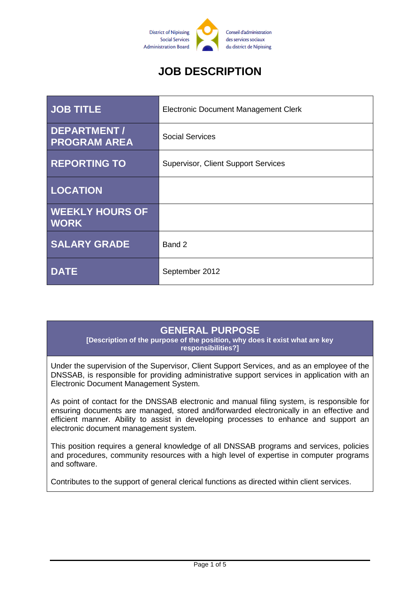

# **JOB DESCRIPTION**

| <b>JOB TITLE</b>                      | <b>Electronic Document Management Clerk</b> |
|---------------------------------------|---------------------------------------------|
| DEPARTMENT /<br><b>PROGRAM AREA</b>   | <b>Social Services</b>                      |
| <b>REPORTING TO</b>                   | <b>Supervisor, Client Support Services</b>  |
| <b>LOCATION</b>                       |                                             |
| <b>WEEKLY HOURS OF</b><br><b>WORK</b> |                                             |
| <b>SALARY GRADE</b>                   | Band 2                                      |
| <b>DATE</b>                           | September 2012                              |

## **GENERAL PURPOSE**

**[Description of the purpose of the position, why does it exist what are key responsibilities?]**

Under the supervision of the Supervisor, Client Support Services, and as an employee of the DNSSAB, is responsible for providing administrative support services in application with an Electronic Document Management System.

As point of contact for the DNSSAB electronic and manual filing system, is responsible for ensuring documents are managed, stored and/forwarded electronically in an effective and efficient manner. Ability to assist in developing processes to enhance and support an electronic document management system.

This position requires a general knowledge of all DNSSAB programs and services, policies and procedures, community resources with a high level of expertise in computer programs and software.

Contributes to the support of general clerical functions as directed within client services.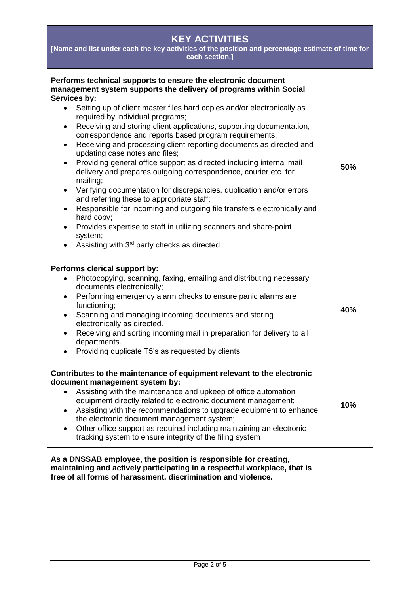| <b>KEY ACTIVITIES</b><br>[Name and list under each the key activities of the position and percentage estimate of time for<br>each section.]                                                                                                                                                                                                                                                                                                                                                                                                                                                                                                                                                                                                                                                                                                                                                                                                                                                                                                                                                                            |     |  |
|------------------------------------------------------------------------------------------------------------------------------------------------------------------------------------------------------------------------------------------------------------------------------------------------------------------------------------------------------------------------------------------------------------------------------------------------------------------------------------------------------------------------------------------------------------------------------------------------------------------------------------------------------------------------------------------------------------------------------------------------------------------------------------------------------------------------------------------------------------------------------------------------------------------------------------------------------------------------------------------------------------------------------------------------------------------------------------------------------------------------|-----|--|
| Performs technical supports to ensure the electronic document<br>management system supports the delivery of programs within Social<br>Services by:<br>Setting up of client master files hard copies and/or electronically as<br>$\bullet$<br>required by individual programs;<br>Receiving and storing client applications, supporting documentation,<br>$\bullet$<br>correspondence and reports based program requirements;<br>Receiving and processing client reporting documents as directed and<br>$\bullet$<br>updating case notes and files;<br>Providing general office support as directed including internal mail<br>$\bullet$<br>delivery and prepares outgoing correspondence, courier etc. for<br>mailing;<br>Verifying documentation for discrepancies, duplication and/or errors<br>$\bullet$<br>and referring these to appropriate staff;<br>Responsible for incoming and outgoing file transfers electronically and<br>$\bullet$<br>hard copy;<br>Provides expertise to staff in utilizing scanners and share-point<br>$\bullet$<br>system;<br>Assisting with 3 <sup>rd</sup> party checks as directed | 50% |  |
| Performs clerical support by:<br>Photocopying, scanning, faxing, emailing and distributing necessary<br>$\bullet$<br>documents electronically;<br>Performing emergency alarm checks to ensure panic alarms are<br>$\bullet$<br>functioning;<br>Scanning and managing incoming documents and storing<br>$\bullet$<br>electronically as directed.<br>Receiving and sorting incoming mail in preparation for delivery to all<br>departments.<br>Providing duplicate T5's as requested by clients.                                                                                                                                                                                                                                                                                                                                                                                                                                                                                                                                                                                                                         | 40% |  |
| Contributes to the maintenance of equipment relevant to the electronic<br>document management system by:<br>Assisting with the maintenance and upkeep of office automation<br>$\bullet$<br>equipment directly related to electronic document management;<br>Assisting with the recommendations to upgrade equipment to enhance<br>the electronic document management system;<br>Other office support as required including maintaining an electronic<br>tracking system to ensure integrity of the filing system                                                                                                                                                                                                                                                                                                                                                                                                                                                                                                                                                                                                       | 10% |  |
| As a DNSSAB employee, the position is responsible for creating,<br>maintaining and actively participating in a respectful workplace, that is<br>free of all forms of harassment, discrimination and violence.                                                                                                                                                                                                                                                                                                                                                                                                                                                                                                                                                                                                                                                                                                                                                                                                                                                                                                          |     |  |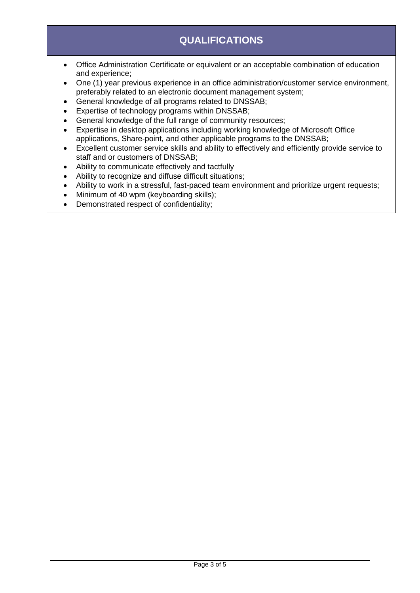# **QUALIFICATIONS**

- Office Administration Certificate or equivalent or an acceptable combination of education and experience;
- One (1) year previous experience in an office administration/customer service environment, preferably related to an electronic document management system;
- General knowledge of all programs related to DNSSAB;
- Expertise of technology programs within DNSSAB;
- General knowledge of the full range of community resources;
- Expertise in desktop applications including working knowledge of Microsoft Office applications, Share-point, and other applicable programs to the DNSSAB;
- Excellent customer service skills and ability to effectively and efficiently provide service to staff and or customers of DNSSAB;
- Ability to communicate effectively and tactfully
- Ability to recognize and diffuse difficult situations;
- Ability to work in a stressful, fast-paced team environment and prioritize urgent requests:
- Minimum of 40 wpm (keyboarding skills);
- Demonstrated respect of confidentiality;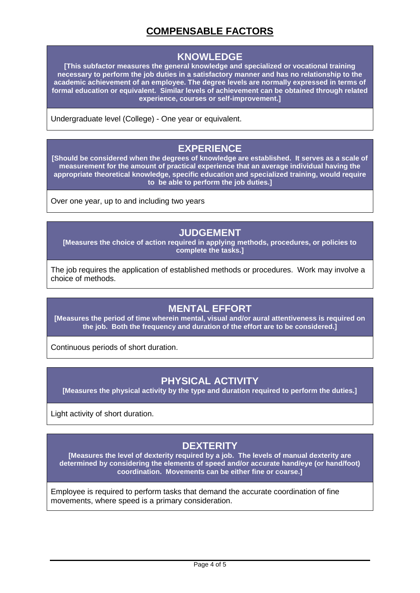# **COMPENSABLE FACTORS**

#### **KNOWLEDGE**

**[This subfactor measures the general knowledge and specialized or vocational training necessary to perform the job duties in a satisfactory manner and has no relationship to the academic achievement of an employee. The degree levels are normally expressed in terms of formal education or equivalent. Similar levels of achievement can be obtained through related experience, courses or self-improvement.]**

Undergraduate level (College) - One year or equivalent.

## **EXPERIENCE**

**[Should be considered when the degrees of knowledge are established. It serves as a scale of measurement for the amount of practical experience that an average individual having the appropriate theoretical knowledge, specific education and specialized training, would require to be able to perform the job duties.]**

Over one year, up to and including two years

#### **JUDGEMENT**

**[Measures the choice of action required in applying methods, procedures, or policies to complete the tasks.]**

The job requires the application of established methods or procedures. Work may involve a choice of methods.

## **MENTAL EFFORT**

**[Measures the period of time wherein mental, visual and/or aural attentiveness is required on the job. Both the frequency and duration of the effort are to be considered.]**

Continuous periods of short duration.

## **PHYSICAL ACTIVITY**

**[Measures the physical activity by the type and duration required to perform the duties.]**

Light activity of short duration.

# **DEXTERITY**

**[Measures the level of dexterity required by a job. The levels of manual dexterity are determined by considering the elements of speed and/or accurate hand/eye (or hand/foot) coordination. Movements can be either fine or coarse.]**

Employee is required to perform tasks that demand the accurate coordination of fine movements, where speed is a primary consideration.